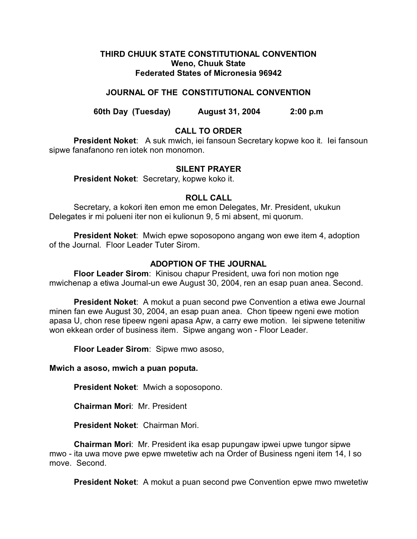## **THIRD CHUUK STATE CONSTITUTIONAL CONVENTION Weno, Chuuk State Federated States of Micronesia 96942**

# **JOURNAL OF THE CONSTITUTIONAL CONVENTION**

**60th Day (Tuesday) August 31, 2004 2:00 p.m**

# **CALL TO ORDER**

**President Noket**: A suk mwich, iei fansoun Secretary kopwe koo it. Iei fansoun sipwe fanafanono ren iotek non monomon.

## **SILENT PRAYER**

**President Noket**: Secretary, kopwe koko it.

## **ROLL CALL**

Secretary, a kokori iten emon me emon Delegates, Mr. President, ukukun Delegates ir mi polueni iter non ei kulionun 9, 5 mi absent, mi quorum.

**President Noket**: Mwich epwe soposopono angang won ewe item 4, adoption of the Journal. Floor Leader Tuter Sirom.

## **ADOPTION OF THE JOURNAL**

**Floor Leader Sirom**: Kinisou chapur President, uwa fori non motion nge mwichenap a etiwa Journal-un ewe August 30, 2004, ren an esap puan anea. Second.

**President Noket**: A mokut a puan second pwe Convention a etiwa ewe Journal minen fan ewe August 30, 2004, an esap puan anea. Chon tipeew ngeni ewe motion apasa U, chon rese tipeew ngeni apasa Apw, a carry ewe motion. Iei sipwene tetenitiw won ekkean order of business item. Sipwe angang won - Floor Leader.

**Floor Leader Sirom**: Sipwe mwo asoso,

## **Mwich a asoso, mwich a puan poputa.**

**President Noket**: Mwich a soposopono.

**Chairman Mori**: Mr. President

**President Noket**: Chairman Mori.

**Chairman Mori**: Mr. President ika esap pupungaw ipwei upwe tungor sipwe mwo - ita uwa move pwe epwe mwetetiw ach na Order of Business ngeni item 14, I so move. Second.

**President Noket**: A mokut a puan second pwe Convention epwe mwo mwetetiw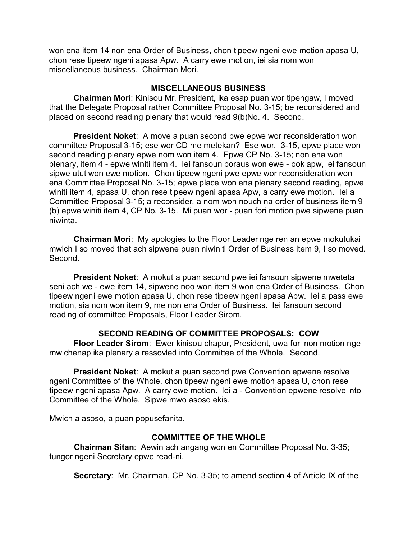won ena item 14 non ena Order of Business, chon tipeew ngeni ewe motion apasa U, chon rese tipeew ngeni apasa Apw. A carry ewe motion, iei sia nom won miscellaneous business. Chairman Mori.

## **MISCELLANEOUS BUSINESS**

**Chairman Mori**: Kinisou Mr. President, ika esap puan wor tipengaw, I moved that the Delegate Proposal rather Committee Proposal No. 3-15; be reconsidered and placed on second reading plenary that would read 9(b)No. 4. Second.

**President Noket**: A move a puan second pwe epwe wor reconsideration won committee Proposal 3-15; ese wor CD me metekan? Ese wor. 3-15, epwe place won second reading plenary epwe nom won item 4. Epwe CP No. 3-15; non ena won plenary, item 4 - epwe winiti item 4. Iei fansoun poraus won ewe - ook apw, iei fansoun sipwe utut won ewe motion. Chon tipeew ngeni pwe epwe wor reconsideration won ena Committee Proposal No. 3-15; epwe place won ena plenary second reading, epwe winiti item 4, apasa U, chon rese tipeew ngeni apasa Apw, a carry ewe motion. Iei a Committee Proposal 3-15; a reconsider, a nom won nouch na order of business item 9 (b) epwe winiti item 4, CP No. 3-15. Mi puan wor - puan fori motion pwe sipwene puan niwinta.

**Chairman Mori**: My apologies to the Floor Leader nge ren an epwe mokutukai mwich I so moved that ach sipwene puan niwiniti Order of Business item 9, I so moved. Second.

**President Noket**: A mokut a puan second pwe iei fansoun sipwene mweteta seni ach we - ewe item 14, sipwene noo won item 9 won ena Order of Business. Chon tipeew ngeni ewe motion apasa U, chon rese tipeew ngeni apasa Apw. Iei a pass ewe motion, sia nom won item 9, me non ena Order of Business. Iei fansoun second reading of committee Proposals, Floor Leader Sirom.

# **SECOND READING OF COMMITTEE PROPOSALS: COW**

**Floor Leader Sirom**: Ewer kinisou chapur, President, uwa fori non motion nge mwichenap ika plenary a ressovled into Committee of the Whole. Second.

**President Noket**: A mokut a puan second pwe Convention epwene resolve ngeni Committee of the Whole, chon tipeew ngeni ewe motion apasa U, chon rese tipeew ngeni apasa Apw. A carry ewe motion. Iei a - Convention epwene resolve into Committee of the Whole. Sipwe mwo asoso ekis.

Mwich a asoso, a puan popusefanita.

# **COMMITTEE OF THE WHOLE**

**Chairman Sitan**: Aewin ach angang won en Committee Proposal No. 3-35; tungor ngeni Secretary epwe read-ni.

**Secretary**: Mr. Chairman, CP No. 3-35; to amend section 4 of Article IX of the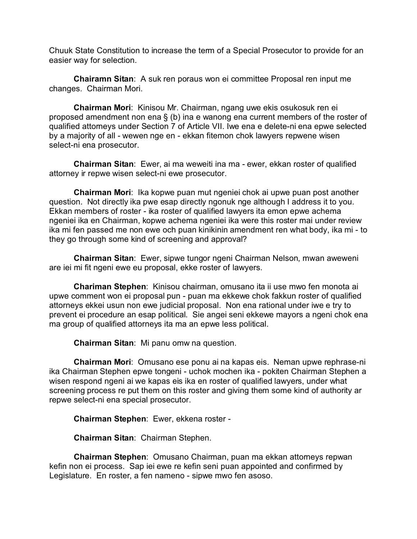Chuuk State Constitution to increase the term of a Special Prosecutor to provide for an easier way for selection.

**Chairamn Sitan**: A suk ren poraus won ei committee Proposal ren input me changes. Chairman Mori.

**Chairman Mori**: Kinisou Mr. Chairman, ngang uwe ekis osukosuk ren ei proposed amendment non ena § (b) ina e wanong ena current members of the roster of qualified attorneys under Section 7 of Article VII. Iwe ena e delete-ni ena epwe selected by a majority of all - wewen nge en - ekkan fitemon chok lawyers repwene wisen select-ni ena prosecutor.

**Chairman Sitan**: Ewer, ai ma weweiti ina ma - ewer, ekkan roster of qualified attorney ir repwe wisen select-ni ewe prosecutor.

**Chairman Mori**: Ika kopwe puan mut ngeniei chok ai upwe puan post another question. Not directly ika pwe esap directly ngonuk nge although I address it to you. Ekkan members of roster - ika roster of qualified lawyers ita emon epwe achema ngeniei ika en Chairman, kopwe achema ngeniei ika were this roster mai under review ika mi fen passed me non ewe och puan kinikinin amendment ren what body, ika mi - to they go through some kind of screening and approval?

**Chairman Sitan**: Ewer, sipwe tungor ngeni Chairman Nelson, mwan aweweni are iei mi fit ngeni ewe eu proposal, ekke roster of lawyers.

**Chariman Stephen**: Kinisou chairman, omusano ita ii use mwo fen monota ai upwe comment won ei proposal pun - puan ma ekkewe chok fakkun roster of qualified attorneys ekkei usun non ewe judicial proposal. Non ena rational under iwe e try to prevent ei procedure an esap political. Sie angei seni ekkewe mayors a ngeni chok ena ma group of qualified attorneys ita ma an epwe less political.

**Chairman Sitan**: Mi panu omw na question.

**Chairman Mori**: Omusano ese ponu ai na kapas eis. Neman upwe rephrase-ni ika Chairman Stephen epwe tongeni - uchok mochen ika - pokiten Chairman Stephen a wisen respond ngeni ai we kapas eis ika en roster of qualified lawyers, under what screening process re put them on this roster and giving them some kind of authority ar repwe select-ni ena special prosecutor.

**Chairman Stephen**: Ewer, ekkena roster -

**Chairman Sitan**: Chairman Stephen.

**Chairman Stephen**: Omusano Chairman, puan ma ekkan attorneys repwan kefin non ei process. Sap iei ewe re kefin seni puan appointed and confirmed by Legislature. En roster, a fen nameno - sipwe mwo fen asoso.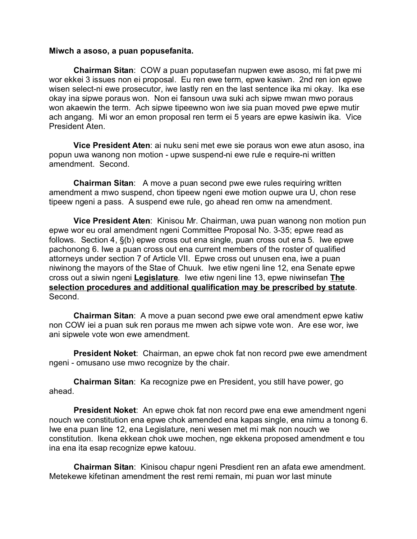#### **Miwch a asoso, a puan popusefanita.**

**Chairman Sitan**: COW a puan poputasefan nupwen ewe asoso, mi fat pwe mi wor ekkei 3 issues non ei proposal. Eu ren ewe term, epwe kasiwn. 2nd ren ion epwe wisen select-ni ewe prosecutor, iwe lastly ren en the last sentence ika mi okay. Ika ese okay ina sipwe poraus won. Non ei fansoun uwa suki ach sipwe mwan mwo poraus won akaewin the term. Ach sipwe tipeewno won iwe sia puan moved pwe epwe mutir ach angang. Mi wor an emon proposal ren term ei 5 years are epwe kasiwin ika. Vice President Aten.

**Vice President Aten**: ai nuku seni met ewe sie poraus won ewe atun asoso, ina popun uwa wanong non motion - upwe suspend-ni ewe rule e require-ni written amendment. Second.

**Chairman Sitan**: A move a puan second pwe ewe rules requiring written amendment a mwo suspend, chon tipeew ngeni ewe motion oupwe ura U, chon rese tipeew ngeni a pass. A suspend ewe rule, go ahead ren omw na amendment.

**Vice President Aten**: Kinisou Mr. Chairman, uwa puan wanong non motion pun epwe wor eu oral amendment ngeni Committee Proposal No. 3-35; epwe read as follows. Section 4, §(b) epwe cross out ena single, puan cross out ena 5. Iwe epwe pachonong 6. Iwe a puan cross out ena current members of the roster of qualified attorneys under section 7 of Article VII. Epwe cross out unusen ena, iwe a puan niwinong the mayors of the Stae of Chuuk. Iwe etiw ngeni line 12, ena Senate epwe cross out a siwin ngeni **Legislature**. Iwe etiw ngeni line 13, epwe niwinsefan **The selection procedures and additional qualification may be prescribed by statute**. Second.

**Chairman Sitan**: A move a puan second pwe ewe oral amendment epwe katiw non COW iei a puan suk ren poraus me mwen ach sipwe vote won. Are ese wor, iwe ani sipwele vote won ewe amendment.

**President Noket**: Chairman, an epwe chok fat non record pwe ewe amendment ngeni - omusano use mwo recognize by the chair.

**Chairman Sitan**: Ka recognize pwe en President, you still have power, go ahead.

**President Noket**: An epwe chok fat non record pwe ena ewe amendment ngeni nouch we constitution ena epwe chok amended ena kapas single, ena nimu a tonong 6. Iwe ena puan line 12, ena Legislature, neni wesen met mi mak non nouch we constitution. Ikena ekkean chok uwe mochen, nge ekkena proposed amendment e tou ina ena ita esap recognize epwe katouu.

**Chairman Sitan**: Kinisou chapur ngeni Presdient ren an afata ewe amendment. Metekewe kifetinan amendment the rest remi remain, mi puan wor last minute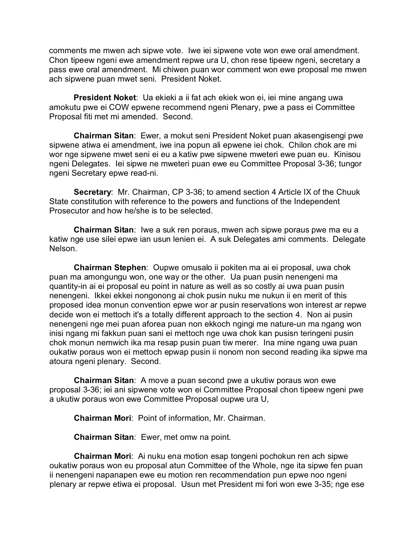comments me mwen ach sipwe vote. Iwe iei sipwene vote won ewe oral amendment. Chon tipeew ngeni ewe amendment repwe ura U, chon rese tipeew ngeni, secretary a pass ewe oral amendment. Mi chiwen puan wor comment won ewe proposal me mwen ach sipwene puan mwet seni. President Noket.

**President Noket**: Ua ekieki a ii fat ach ekiek won ei, iei mine angang uwa amokutu pwe ei COW epwene recommend ngeni Plenary, pwe a pass ei Committee Proposal fiti met mi amended. Second.

**Chairman Sitan**: Ewer, a mokut seni President Noket puan akasengisengi pwe sipwene atiwa ei amendment, iwe ina popun ali epwene iei chok. Chilon chok are mi wor nge sipwene mwet seni ei eu a katiw pwe sipwene mweteri ewe puan eu. Kinisou ngeni Delegates. Iei sipwe ne mweteri puan ewe eu Committee Proposal 3-36; tungor ngeni Secretary epwe read-ni.

**Secretary**: Mr. Chairman, CP 3-36; to amend section 4 Article IX of the Chuuk State constitution with reference to the powers and functions of the Independent Prosecutor and how he/she is to be selected.

**Chairman Sitan**: Iwe a suk ren poraus, mwen ach sipwe poraus pwe ma eu a katiw nge use silei epwe ian usun lenien ei. A suk Delegates ami comments. Delegate Nelson.

**Chairman Stephen**: Oupwe omusalo ii pokiten ma ai ei proposal, uwa chok puan ma amongungu won, one way or the other. Ua puan pusin nenengeni ma quantity-in ai ei proposal eu point in nature as well as so costly ai uwa puan pusin nenengeni. Ikkei ekkei nongonong ai chok pusin nuku me nukun ii en merit of this proposed idea monun convention epwe wor ar pusin reservations won interest ar repwe decide won ei mettoch it's a totally different approach to the section 4. Non ai pusin nenengeni nge mei puan aforea puan non ekkoch ngingi me nature-un ma ngang won inisi ngang mi fakkun puan sani ei mettoch nge uwa chok kan pusisn teringeni pusin chok monun nemwich ika ma resap pusin puan tiw merer. Ina mine ngang uwa puan oukatiw poraus won ei mettoch epwap pusin ii nonom non second reading ika sipwe ma atoura ngeni plenary. Second.

**Chairman Sitan**: A move a puan second pwe a ukutiw poraus won ewe proposal 3-36; iei ani sipwene vote won ei Committee Proposal chon tipeew ngeni pwe a ukutiw poraus won ewe Committee Proposal oupwe ura U,

**Chairman Mori**: Point of information, Mr. Chairman.

**Chairman Sitan**: Ewer, met omw na point.

**Chairman Mori**: Ai nuku ena motion esap tongeni pochokun ren ach sipwe oukatiw poraus won eu proposal atun Committee of the Whole, nge ita sipwe fen puan ii nenengeni napanapen ewe eu motion ren recommendation pun epwe noo ngeni plenary ar repwe etiwa ei proposal. Usun met President mi fori won ewe 3-35; nge ese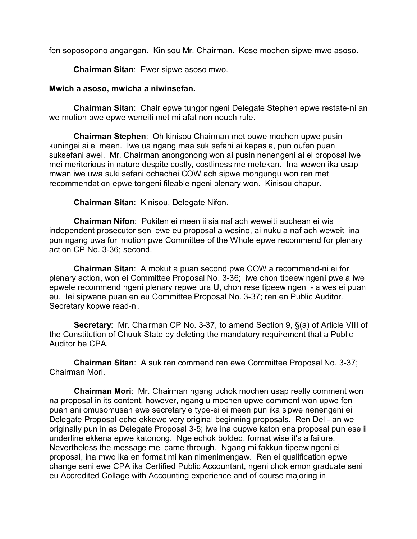fen soposopono angangan. Kinisou Mr. Chairman. Kose mochen sipwe mwo asoso.

**Chairman Sitan**: Ewer sipwe asoso mwo.

## **Mwich a asoso, mwicha a niwinsefan.**

**Chairman Sitan**: Chair epwe tungor ngeni Delegate Stephen epwe restate-ni an we motion pwe epwe weneiti met mi afat non nouch rule.

**Chairman Stephen**: Oh kinisou Chairman met ouwe mochen upwe pusin kuningei ai ei meen. Iwe ua ngang maa suk sefani ai kapas a, pun oufen puan suksefani awei. Mr. Chairman anongonong won ai pusin nenengeni ai ei proposal iwe mei meritorious in nature despite costly, costliness me metekan. Ina wewen ika usap mwan iwe uwa suki sefani ochachei COW ach sipwe mongungu won ren met recommendation epwe tongeni fileable ngeni plenary won. Kinisou chapur.

**Chairman Sitan**: Kinisou, Delegate Nifon.

**Chairman Nifon**: Pokiten ei meen ii sia naf ach weweiti auchean ei wis independent prosecutor seni ewe eu proposal a wesino, ai nuku a naf ach weweiti ina pun ngang uwa fori motion pwe Committee of the Whole epwe recommend for plenary action CP No. 3-36; second.

**Chairman Sitan**: A mokut a puan second pwe COW a recommend-ni ei for plenary action, won ei Committee Proposal No. 3-36; iwe chon tipeew ngeni pwe a iwe epwele recommend ngeni plenary repwe ura U, chon rese tipeew ngeni - a wes ei puan eu. Iei sipwene puan en eu Committee Proposal No. 3-37; ren en Public Auditor. Secretary kopwe read-ni.

**Secretary**: Mr. Chairman CP No. 3-37, to amend Section 9, §(a) of Article VIII of the Constitution of Chuuk State by deleting the mandatory requirement that a Public Auditor be CPA.

**Chairman Sitan**: A suk ren commend ren ewe Committee Proposal No. 3-37; Chairman Mori.

**Chairman Mori**: Mr. Chairman ngang uchok mochen usap really comment won na proposal in its content, however, ngang u mochen upwe comment won upwe fen puan ani omusomusan ewe secretary e type-ei ei meen pun ika sipwe nenengeni ei Delegate Proposal echo ekkewe very original beginning proposals. Ren Del - an we originally pun in as Delegate Proposal 3-5; iwe ina oupwe katon ena proposal pun ese ii underline ekkena epwe katonong. Nge echok bolded, format wise it's a failure. Nevertheless the message mei came through. Ngang mi fakkun tipeew ngeni ei proposal, ina mwo ika en format mi kan nimenimengaw. Ren ei qualification epwe change seni ewe CPA ika Certified Public Accountant, ngeni chok emon graduate seni eu Accredited Collage with Accounting experience and of course majoring in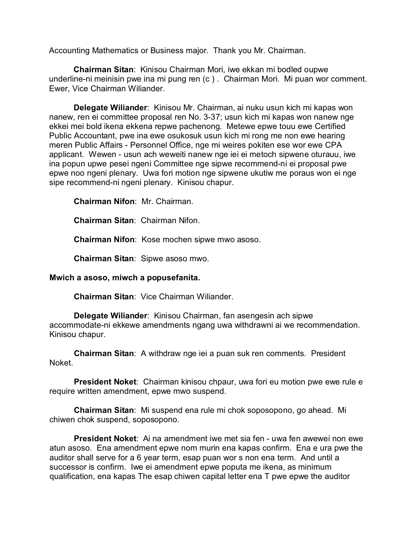Accounting Mathematics or Business major. Thank you Mr. Chairman.

**Chairman Sitan**: Kinisou Chairman Mori, iwe ekkan mi bodled oupwe underline-ni meinisin pwe ina mi pung ren (c ) . Chairman Mori. Mi puan wor comment. Ewer, Vice Chairman Wiliander.

**Delegate Wiliander**: Kinisou Mr. Chairman, ai nuku usun kich mi kapas won nanew, ren ei committee proposal ren No. 3-37; usun kich mi kapas won nanew nge ekkei mei bold ikena ekkena repwe pachenong. Metewe epwe touu ewe Certified Public Accountant, pwe ina ewe osukosuk usun kich mi rong me non ewe hearing meren Public Affairs - Personnel Office, nge mi weires pokiten ese wor ewe CPA applicant. Wewen - usun ach weweiti nanew nge iei ei metoch sipwene oturauu, iwe ina popun upwe pesei ngeni Committee nge sipwe recommend-ni ei proposal pwe epwe noo ngeni plenary. Uwa fori motion nge sipwene ukutiw me poraus won ei nge sipe recommend-ni ngeni plenary. Kinisou chapur.

**Chairman Nifon**: Mr. Chairman.

**Chairman Sitan**: Chairman Nifon.

**Chairman Nifon**: Kose mochen sipwe mwo asoso.

**Chairman Sitan**: Sipwe asoso mwo.

## **Mwich a asoso, miwch a popusefanita.**

**Chairman Sitan**: Vice Chairman Wiliander.

**Delegate Wiliander**: Kinisou Chairman, fan asengesin ach sipwe accommodate-ni ekkewe amendments ngang uwa withdrawni ai we recommendation. Kinisou chapur.

**Chairman Sitan**: A withdraw nge iei a puan suk ren comments. President Noket.

**President Noket**: Chairman kinisou chpaur, uwa fori eu motion pwe ewe rule e require written amendment, epwe mwo suspend.

**Chairman Sitan**: Mi suspend ena rule mi chok soposopono, go ahead. Mi chiwen chok suspend, soposopono.

**President Noket**: Ai na amendment iwe met sia fen - uwa fen awewei non ewe atun asoso. Ena amendment epwe nom murin ena kapas confirm. Ena e ura pwe the auditor shall serve for a 6 year term, esap puan wor s non ena term. And until a successor is confirm. Iwe ei amendment epwe poputa me ikena, as minimum qualification, ena kapas The esap chiwen capital letter ena T pwe epwe the auditor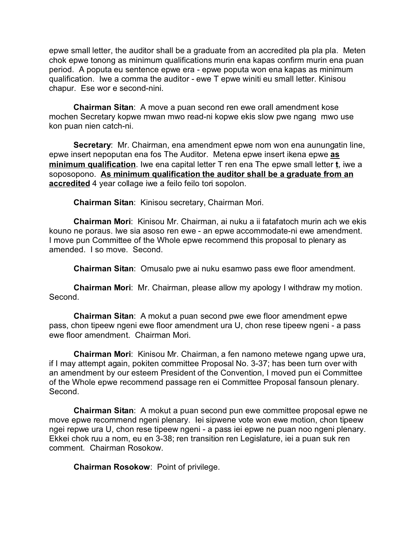epwe small letter, the auditor shall be a graduate from an accredited pla pla pla. Meten chok epwe tonong as minimum qualifications murin ena kapas confirm murin ena puan period. A poputa eu sentence epwe era - epwe poputa won ena kapas as minimum qualification. Iwe a comma the auditor - ewe T epwe winiti eu small letter. Kinisou chapur. Ese wor e second-nini.

**Chairman Sitan**: A move a puan second ren ewe orall amendment kose mochen Secretary kopwe mwan mwo read-ni kopwe ekis slow pwe ngang mwo use kon puan nien catch-ni.

**Secretary**: Mr. Chairman, ena amendment epwe nom won ena aunungatin line, epwe insert nepoputan ena fos The Auditor. Metena epwe insert ikena epwe **as minimum qualification**. Iwe ena capital letter T ren ena The epwe small letter **t**, iwe a soposopono. **As minimum qualification the auditor shall be a graduate from an accredited** 4 year collage iwe a feilo feilo tori sopolon.

**Chairman Sitan**: Kinisou secretary, Chairman Mori.

**Chairman Mori**: Kinisou Mr. Chairman, ai nuku a ii fatafatoch murin ach we ekis kouno ne poraus. Iwe sia asoso ren ewe - an epwe accommodate-ni ewe amendment. I move pun Committee of the Whole epwe recommend this proposal to plenary as amended. I so move. Second.

**Chairman Sitan**: Omusalo pwe ai nuku esamwo pass ewe floor amendment.

**Chairman Mori**: Mr. Chairman, please allow my apology I withdraw my motion. Second.

**Chairman Sitan**: A mokut a puan second pwe ewe floor amendment epwe pass, chon tipeew ngeni ewe floor amendment ura U, chon rese tipeew ngeni - a pass ewe floor amendment. Chairman Mori.

**Chairman Mori**: Kinisou Mr. Chairman, a fen namono metewe ngang upwe ura, if I may attempt again, pokiten committee Proposal No. 3-37; has been turn over with an amendment by our esteem President of the Convention, I moved pun ei Committee of the Whole epwe recommend passage ren ei Committee Proposal fansoun plenary. Second.

**Chairman Sitan**: A mokut a puan second pun ewe committee proposal epwe ne move epwe recommend ngeni plenary. Iei sipwene vote won ewe motion, chon tipeew ngei repwe ura U, chon rese tipeew ngeni - a pass iei epwe ne puan noo ngeni plenary. Ekkei chok ruu a nom, eu en 3-38; ren transition ren Legislature, iei a puan suk ren comment. Chairman Rosokow.

**Chairman Rosokow**: Point of privilege.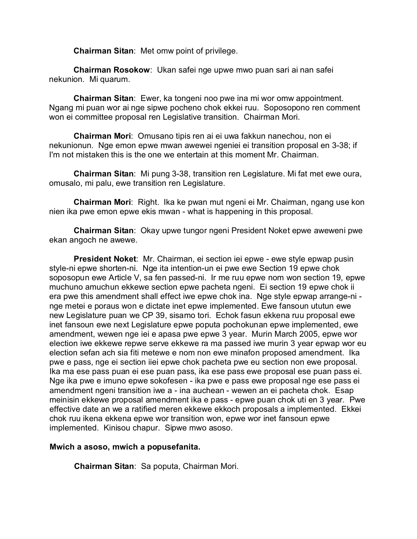**Chairman Sitan**: Met omw point of privilege.

**Chairman Rosokow**: Ukan safei nge upwe mwo puan sari ai nan safei nekunion. Mi quarum.

**Chairman Sitan**: Ewer, ka tongeni noo pwe ina mi wor omw appointment. Ngang mi puan wor ai nge sipwe pocheno chok ekkei ruu. Soposopono ren comment won ei committee proposal ren Legislative transition. Chairman Mori.

**Chairman Mori**: Omusano tipis ren ai ei uwa fakkun nanechou, non ei nekunionun. Nge emon epwe mwan awewei ngeniei ei transition proposal en 3-38; if I'm not mistaken this is the one we entertain at this moment Mr. Chairman.

**Chairman Sitan**: Mi pung 3-38, transition ren Legislature. Mi fat met ewe oura, omusalo, mi palu, ewe transition ren Legislature.

**Chairman Mori**: Right. Ika ke pwan mut ngeni ei Mr. Chairman, ngang use kon nien ika pwe emon epwe ekis mwan - what is happening in this proposal.

**Chairman Sitan**: Okay upwe tungor ngeni President Noket epwe aweweni pwe ekan angoch ne awewe.

**President Noket**: Mr. Chairman, ei section iei epwe - ewe style epwap pusin style-ni epwe shorten-ni. Nge ita intention-un ei pwe ewe Section 19 epwe chok soposopun ewe Article V, sa fen passed-ni. Ir me ruu epwe nom won section 19, epwe muchuno amuchun ekkewe section epwe pacheta ngeni. Ei section 19 epwe chok ii era pwe this amendment shall effect iwe epwe chok ina. Nge style epwap arrange-ni nge metei e poraus won e dictate inet epwe implemented. Ewe fansoun ututun ewe new Legislature puan we CP 39, sisamo tori. Echok fasun ekkena ruu proposal ewe inet fansoun ewe next Legislature epwe poputa pochokunan epwe implemented, ewe amendment, wewen nge iei e apasa pwe epwe 3 year. Murin March 2005, epwe wor election iwe ekkewe repwe serve ekkewe ra ma passed iwe murin 3 year epwap wor eu election sefan ach sia fiti metewe e nom non ewe minafon proposed amendment. Ika pwe e pass, nge ei section iiei epwe chok pacheta pwe eu section non ewe proposal. Ika ma ese pass puan ei ese puan pass, ika ese pass ewe proposal ese puan pass ei. Nge ika pwe e imuno epwe sokofesen - ika pwe e pass ewe proposal nge ese pass ei amendment ngeni transition iwe a - ina auchean - wewen an ei pacheta chok. Esap meinisin ekkewe proposal amendment ika e pass - epwe puan chok uti en 3 year. Pwe effective date an we a ratified meren ekkewe ekkoch proposals a implemented. Ekkei chok ruu ikena ekkena epwe wor transition won, epwe wor inet fansoun epwe implemented. Kinisou chapur. Sipwe mwo asoso.

## **Mwich a asoso, mwich a popusefanita.**

**Chairman Sitan**: Sa poputa, Chairman Mori.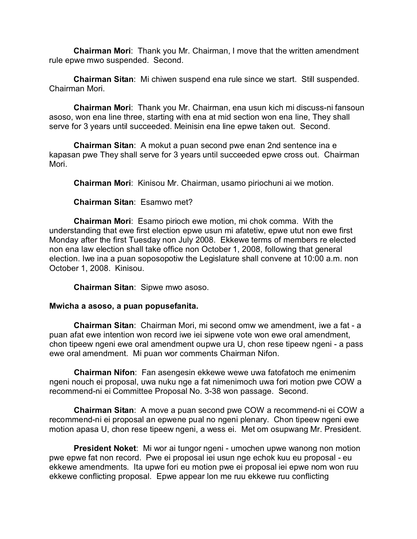**Chairman Mori**: Thank you Mr. Chairman, I move that the written amendment rule epwe mwo suspended. Second.

**Chairman Sitan**: Mi chiwen suspend ena rule since we start. Still suspended. Chairman Mori.

**Chairman Mori**: Thank you Mr. Chairman, ena usun kich mi discuss-ni fansoun asoso, won ena line three, starting with ena at mid section won ena line, They shall serve for 3 years until succeeded. Meinisin ena line epwe taken out. Second.

**Chairman Sitan**: A mokut a puan second pwe enan 2nd sentence ina e kapasan pwe They shall serve for 3 years until succeeded epwe cross out. Chairman Mori.

**Chairman Mori**: Kinisou Mr. Chairman, usamo piriochuni ai we motion.

**Chairman Sitan**: Esamwo met?

**Chairman Mori**: Esamo pirioch ewe motion, mi chok comma. With the understanding that ewe first election epwe usun mi afatetiw, epwe utut non ewe first Monday after the first Tuesday non July 2008. Ekkewe terms of members re elected non ena law election shall take office non October 1, 2008, following that general election. Iwe ina a puan soposopotiw the Legislature shall convene at 10:00 a.m. non October 1, 2008. Kinisou.

**Chairman Sitan**: Sipwe mwo asoso.

## **Mwicha a asoso, a puan popusefanita.**

**Chairman Sitan**: Chairman Mori, mi second omw we amendment, iwe a fat - a puan afat ewe intention won record iwe iei sipwene vote won ewe oral amendment, chon tipeew ngeni ewe oral amendment oupwe ura U, chon rese tipeew ngeni - a pass ewe oral amendment. Mi puan wor comments Chairman Nifon.

**Chairman Nifon**: Fan asengesin ekkewe wewe uwa fatofatoch me enimenim ngeni nouch ei proposal, uwa nuku nge a fat nimenimoch uwa fori motion pwe COW a recommend-ni ei Committee Proposal No. 3-38 won passage. Second.

**Chairman Sitan**: A move a puan second pwe COW a recommend-ni ei COW a recommend-ni ei proposal an epwene pual no ngeni plenary. Chon tipeew ngeni ewe motion apasa U, chon rese tipeew ngeni, a wess ei. Met om osupwang Mr. President.

**President Noket**: Mi wor ai tungor ngeni - umochen upwe wanong non motion pwe epwe fat non record. Pwe ei proposal iei usun nge echok kuu eu proposal - eu ekkewe amendments. Ita upwe fori eu motion pwe ei proposal iei epwe nom won ruu ekkewe conflicting proposal. Epwe appear lon me ruu ekkewe ruu conflicting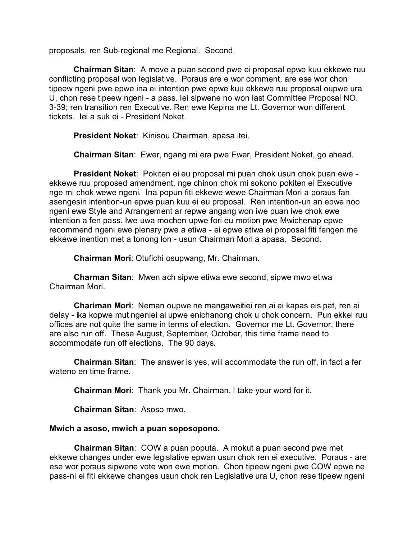proposals, ren Sub-regional me Regional. Second.

**Chairman Sitan**: A move a puan second pwe ei proposal epwe kuu ekkewe ruu conflicting proposal won legislative. Poraus are e wor comment, are ese wor chon tipeew ngeni pwe epwe ina ei intention pwe epwe kuu ekkewe ruu proposal oupwe ura U, chon rese tipeew ngeni - a pass. Iei sipwene no won last Committee Proposal NO. 3-39; ren transition ren Executive. Ren ewe Kepina me Lt. Governor won different tickets. Iei a suk ei - President Noket.

**President Noket**: Kinisou Chairman, apasa itei.

**Chairman Sitan**: Ewer, ngang mi era pwe Ewer, President Noket, go ahead.

**President Noket**: Pokiten ei eu proposal mi puan chok usun chok puan ewe ekkewe ruu proposed amendment, nge chinon chok mi sokono pokiten ei Executive nge mi chok wewe ngeni. Ina popun fiti ekkewe wewe Chairman Mori a poraus fan asengesin intention-un epwe puan kuu ei eu proposal. Ren intention-un an epwe noo ngeni ewe Style and Arrangement ar repwe angang won iwe puan iwe chok ewe intention a fen pass. Iwe uwa mochen upwe fori eu motion pwe Mwichenap epwe recommend ngeni ewe plenary pwe a etiwa - ei epwe atiwa ei proposal fiti fengen me ekkewe inention met a tonong lon - usun Chairman Mori a apasa. Second.

**Chairman Mori**: Otufichi osupwang, Mr. Chairman.

**Charman Sitan**: Mwen ach sipwe etiwa ewe second, sipwe mwo etiwa Chairman Mori.

**Chariman Mori**: Neman oupwe ne mangaweitiei ren ai ei kapas eis pat, ren ai delay - ika kopwe mut ngeniei ai upwe enichanong chok u chok concern. Pun ekkei ruu offices are not quite the same in terms of election. Governor me Lt. Governor, there are also run off. These August, September, October, this time frame need to accommodate run off elections. The 90 days.

**Chairman Sitan**: The answer is yes, will accommodate the run off, in fact a fer wateno en time frame.

**Chairman Mori**: Thank you Mr. Chairman, I take your word for it.

**Chairman Sitan**: Asoso mwo.

## **Mwich a asoso, mwich a puan soposopono.**

**Chairman Sitan**: COW a puan poputa. A mokut a puan second pwe met ekkewe changes under ewe legislative epwan usun chok ren ei executive. Poraus - are ese wor poraus sipwene vote won ewe motion. Chon tipeew ngeni pwe COW epwe ne pass-ni ei fiti ekkewe changes usun chok ren Legislative ura U, chon rese tipeew ngeni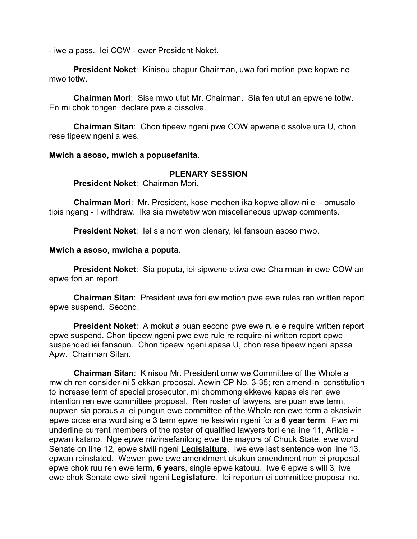- iwe a pass. Iei COW - ewer President Noket.

**President Noket**: Kinisou chapur Chairman, uwa fori motion pwe kopwe ne mwo totiw.

**Chairman Mori**: Sise mwo utut Mr. Chairman. Sia fen utut an epwene totiw. En mi chok tongeni declare pwe a dissolve.

**Chairman Sitan**: Chon tipeew ngeni pwe COW epwene dissolve ura U, chon rese tipeew ngeni a wes.

#### **Mwich a asoso, mwich a popusefanita**.

## **PLENARY SESSION**

**President Noket**: Chairman Mori.

**Chairman Mori**: Mr. President, kose mochen ika kopwe allow-ni ei - omusalo tipis ngang - I withdraw. Ika sia mwetetiw won miscellaneous upwap comments.

**President Noket**: Iei sia nom won plenary, iei fansoun asoso mwo.

#### **Mwich a asoso, mwicha a poputa.**

**President Noket**: Sia poputa, iei sipwene etiwa ewe Chairman-in ewe COW an epwe fori an report.

**Chairman Sitan**: President uwa fori ew motion pwe ewe rules ren written report epwe suspend. Second.

**President Noket**: A mokut a puan second pwe ewe rule e require written report epwe suspend. Chon tipeew ngeni pwe ewe rule re require-ni written report epwe suspended iei fansoun. Chon tipeew ngeni apasa U, chon rese tipeew ngeni apasa Apw. Chairman Sitan.

**Chairman Sitan**: Kinisou Mr. President omw we Committee of the Whole a mwich ren consider-ni 5 ekkan proposal. Aewin CP No. 3-35; ren amend-ni constitution to increase term of special prosecutor, mi chommong ekkewe kapas eis ren ewe intention ren ewe committee proposal. Ren roster of lawyers, are puan ewe term, nupwen sia poraus a iei pungun ewe committee of the Whole ren ewe term a akasiwin epwe cross ena word single 3 term epwe ne kesiwin ngeni for a **6 year term**. Ewe mi underline current members of the roster of qualified lawyers tori ena line 11, Article epwan katano. Nge epwe niwinsefanilong ewe the mayors of Chuuk State, ewe word Senate on line 12, epwe siwili ngeni **Legislalture**. Iwe ewe last sentence won line 13, epwan reinstated. Wewen pwe ewe amendment ukukun amendment non ei proposal epwe chok ruu ren ewe term, **6 years**, single epwe katouu. Iwe 6 epwe siwili 3, iwe ewe chok Senate ewe siwil ngeni **Legislature**. Iei reportun ei committee proposal no.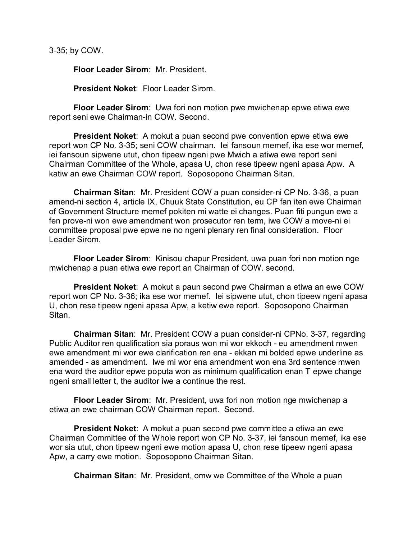3-35; by COW.

**Floor Leader Sirom**: Mr. President.

**President Noket**: Floor Leader Sirom.

**Floor Leader Sirom**: Uwa fori non motion pwe mwichenap epwe etiwa ewe report seni ewe Chairman-in COW. Second.

**President Noket**: A mokut a puan second pwe convention epwe etiwa ewe report won CP No. 3-35; seni COW chairman. Iei fansoun memef, ika ese wor memef, iei fansoun sipwene utut, chon tipeew ngeni pwe Mwich a atiwa ewe report seni Chairman Committee of the Whole, apasa U, chon rese tipeew ngeni apasa Apw. A katiw an ewe Chairman COW report. Soposopono Chairman Sitan.

**Chairman Sitan**: Mr. President COW a puan consider-ni CP No. 3-36, a puan amend-ni section 4, article IX, Chuuk State Constitution, eu CP fan iten ewe Chairman of Government Structure memef pokiten mi watte ei changes. Puan fiti pungun ewe a fen prove-ni won ewe amendment won prosecutor ren term, iwe COW a move-ni ei committee proposal pwe epwe ne no ngeni plenary ren final consideration. Floor Leader Sirom.

**Floor Leader Sirom**: Kinisou chapur President, uwa puan fori non motion nge mwichenap a puan etiwa ewe report an Chairman of COW. second.

**President Noket**: A mokut a paun second pwe Chairman a etiwa an ewe COW report won CP No. 3-36; ika ese wor memef. Iei sipwene utut, chon tipeew ngeni apasa U, chon rese tipeew ngeni apasa Apw, a ketiw ewe report. Soposopono Chairman Sitan.

**Chairman Sitan**: Mr. President COW a puan consider-ni CPNo. 3-37, regarding Public Auditor ren qualification sia poraus won mi wor ekkoch - eu amendment mwen ewe amendment mi wor ewe clarification ren ena - ekkan mi bolded epwe underline as amended - as amendment. Iwe mi wor ena amendment won ena 3rd sentence mwen ena word the auditor epwe poputa won as minimum qualification enan T epwe change ngeni small letter t, the auditor iwe a continue the rest.

**Floor Leader Sirom**: Mr. President, uwa fori non motion nge mwichenap a etiwa an ewe chairman COW Chairman report. Second.

**President Noket**: A mokut a puan second pwe committee a etiwa an ewe Chairman Committee of the Whole report won CP No. 3-37, iei fansoun memef, ika ese wor sia utut, chon tipeew ngeni ewe motion apasa U, chon rese tipeew ngeni apasa Apw, a carry ewe motion. Soposopono Chairman Sitan.

**Chairman Sitan**: Mr. President, omw we Committee of the Whole a puan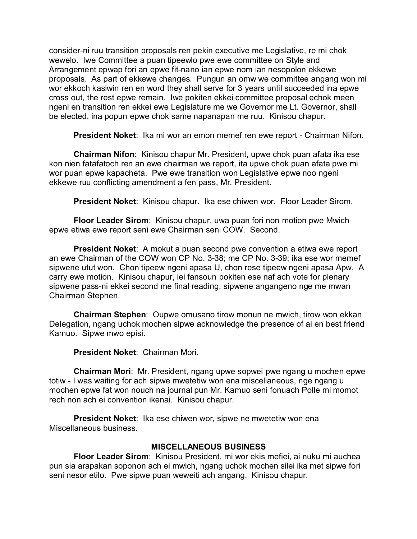consider-ni ruu transition proposals ren pekin executive me Legislative, re mi chok wewelo. Iwe Committee a puan tipeewlo pwe ewe committee on Style and Arrangement epwap fori an epwe fit-nano ian epwe nom ian nesopolon ekkewe proposals. As part of ekkewe changes. Pungun an omw we committee angang won mi wor ekkoch kasiwin ren en word they shall serve for 3 years until succeeded ina epwe cross out, the rest epwe remain. Iwe pokiten ekkei committee proposal echok meen ngeni en transition ren ekkei ewe Legislature me we Governor me Lt. Governor, shall be elected, ina popun epwe chok same napanapan me ruu. Kinisou chapur.

**President Noket**: Ika mi wor an emon memef ren ewe report - Chairman Nifon.

**Chairman Nifon**: Kinisou chapur Mr. President, upwe chok puan afata ika ese kon nien fatafatoch ren an ewe chairman we report, ita upwe chok puan afata pwe mi wor puan epwe kapacheta. Pwe ewe transition won Legislative epwe noo ngeni ekkewe ruu conflicting amendment a fen pass, Mr. President.

**President Noket**: Kinisou chapur. Ika ese chiwen wor. Floor Leader Sirom.

**Floor Leader Sirom**: Kinisou chapur, uwa puan fori non motion pwe Mwich epwe etiwa ewe report seni ewe Chairman seni COW. Second.

**President Noket**: A mokut a puan second pwe convention a etiwa ewe report an ewe Chairman of the COW won CP No. 3-38; me CP No. 3-39; ika ese wor memef sipwene utut won. Chon tipeew ngeni apasa U, chon rese tipeew ngeni apasa Apw. A carry ewe motion. Kinisou chapur, iei fansoun pokiten ese naf ach vote for plenary sipwene pass-ni ekkei second me final reading, sipwene angangeno nge me mwan Chairman Stephen.

**Chairman Stephen**: Oupwe omusano tirow monun ne mwich, tirow won ekkan Delegation, ngang uchok mochen sipwe acknowledge the presence of ai en best friend Kamuo. Sipwe mwo episi.

**President Noket**: Chairman Mori.

**Chairman Mori**: Mr. President, ngang upwe sopwei pwe ngang u mochen epwe totiw - I was waiting for ach sipwe mwetetiw won ena miscellaneous, nge ngang u mochen epwe fat won nouch na journal pun Mr. Kamuo seni fonuach Polle mi momot rech non ach ei convention ikenai. Kinisou chapur.

**President Noket**: Ika ese chiwen wor, sipwe ne mwetetiw won ena Miscellaneous business.

# **MISCELLANEOUS BUSINESS**

**Floor Leader Sirom**: Kinisou President, mi wor ekis mefiei, ai nuku mi auchea pun sia arapakan soponon ach ei mwich, ngang uchok mochen silei ika met sipwe fori seni nesor etilo. Pwe sipwe puan weweiti ach angang. Kinisou chapur.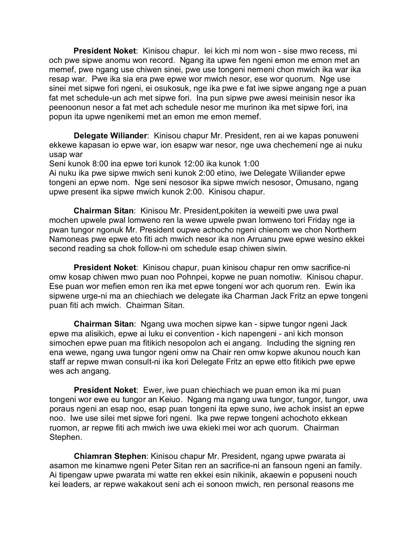**President Noket**: Kinisou chapur. Iei kich mi nom won - sise mwo recess, mi och pwe sipwe anomu won record. Ngang ita upwe fen ngeni emon me emon met an memef, pwe ngang use chiwen sinei, pwe use tongeni nemeni chon mwich ika war ika resap war. Pwe ika sia era pwe epwe wor mwich nesor, ese wor quorum. Nge use sinei met sipwe fori ngeni, ei osukosuk, nge ika pwe e fat iwe sipwe angang nge a puan fat met schedule-un ach met sipwe fori. Ina pun sipwe pwe awesi meinisin nesor ika peenoonun nesor a fat met ach schedule nesor me murinon ika met sipwe fori, ina popun ita upwe ngenikemi met an emon me emon memef.

**Delegate Wiliander**: Kinisou chapur Mr. President, ren ai we kapas ponuweni ekkewe kapasan io epwe war, ion esapw war nesor, nge uwa chechemeni nge ai nuku usap war

Seni kunok 8:00 ina epwe tori kunok 12:00 ika kunok 1:00

Ai nuku ika pwe sipwe mwich seni kunok 2:00 etino, iwe Delegate Wiliander epwe tongeni an epwe nom. Nge seni nesosor ika sipwe mwich nesosor, Omusano, ngang upwe present ika sipwe mwich kunok 2:00. Kinisou chapur.

**Chairman Sitan**: Kinisou Mr. President,pokiten ia weweiti pwe uwa pwal mochen upwele pwal lomweno ren la wewe upwele pwan lomweno tori Friday nge ia pwan tungor ngonuk Mr. President oupwe achocho ngeni chienom we chon Northern Namoneas pwe epwe eto fiti ach mwich nesor ika non Arruanu pwe epwe wesino ekkei second reading sa chok follow-ni om schedule esap chiwen siwin.

**President Noket**: Kinisou chapur, puan kinisou chapur ren omw sacrifice-ni omw kosap chiwen mwo puan noo Pohnpei, kopwe ne puan nomotiw. Kinisou chapur. Ese puan wor mefien emon ren ika met epwe tongeni wor ach quorum ren. Ewin ika sipwene urge-ni ma an chiechiach we delegate ika Charman Jack Fritz an epwe tongeni puan fiti ach mwich. Chairman Sitan.

**Chairman Sitan**: Ngang uwa mochen sipwe kan - sipwe tungor ngeni Jack epwe ma alisikich, epwe ai luku ei convention - kich napengeni - ani kich monson simochen epwe puan ma fitikich nesopolon ach ei angang. Including the signing ren ena wewe, ngang uwa tungor ngeni omw na Chair ren omw kopwe akunou nouch kan staff ar repwe mwan consult-ni ika kori Delegate Fritz an epwe etto fitikich pwe epwe wes ach angang.

**President Noket**: Ewer, iwe puan chiechiach we puan emon ika mi puan tongeni wor ewe eu tungor an Keiuo. Ngang ma ngang uwa tungor, tungor, tungor, uwa poraus ngeni an esap noo, esap puan tongeni ita epwe suno, iwe achok insist an epwe noo. Iwe use silei met sipwe fori ngeni. Ika pwe repwe tongeni achochoto ekkean ruomon, ar repwe fiti ach mwich iwe uwa ekieki mei wor ach quorum. Chairman Stephen.

**Chiamran Stephen**: Kinisou chapur Mr. President, ngang upwe pwarata ai asamon me kinamwe ngeni Peter Sitan ren an sacrifice-ni an fansoun ngeni an family. Ai tipengaw upwe pwarata mi watte ren ekkei esin nikinik, akaewin e popuseni nouch kei leaders, ar repwe wakakout seni ach ei sonoon mwich, ren personal reasons me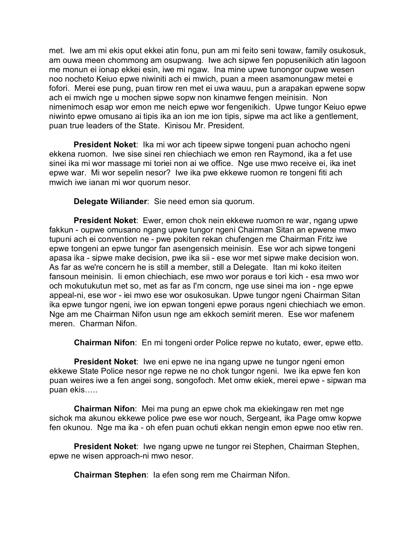met. Iwe am mi ekis oput ekkei atin fonu, pun am mi feito seni towaw, family osukosuk, am ouwa meen chommong am osupwang. Iwe ach sipwe fen popusenikich atin lagoon me monun ei ionap ekkei esin, iwe mi ngaw. Ina mine upwe tunongor oupwe wesen noo nocheto Keiuo epwe niwiniti ach ei mwich, puan a meen asamonungaw metei e fofori. Merei ese pung, puan tirow ren met ei uwa wauu, pun a arapakan epwene sopw ach ei mwich nge u mochen sipwe sopw non kinamwe fengen meinisin. Non nimenimoch esap wor emon me neich epwe wor fengenikich. Upwe tungor Keiuo epwe niwinto epwe omusano ai tipis ika an ion me ion tipis, sipwe ma act like a gentlement, puan true leaders of the State. Kinisou Mr. President.

**President Noket**: Ika mi wor ach tipeew sipwe tongeni puan achocho ngeni ekkena ruomon. Iwe sise sinei ren chiechiach we emon ren Raymond, ika a fet use sinei ika mi wor massage mi toriei non ai we office. Nge use mwo receive ei, ika inet epwe war. Mi wor sepelin nesor? Iwe ika pwe ekkewe ruomon re tongeni fiti ach mwich iwe ianan mi wor quorum nesor.

**Delegate Wiliander**: Sie need emon sia quorum.

**President Noket**: Ewer, emon chok nein ekkewe ruomon re war, ngang upwe fakkun - oupwe omusano ngang upwe tungor ngeni Chairman Sitan an epwene mwo tupuni ach ei convention ne - pwe pokiten rekan chufengen me Chairman Fritz iwe epwe tongeni an epwe tungor fan asengensich meinisin. Ese wor ach sipwe tongeni apasa ika - sipwe make decision, pwe ika sii - ese wor met sipwe make decision won. As far as we're concern he is still a member, still a Delegate. Itan mi koko iteiten fansoun meinisin. Ii emon chiechiach, ese mwo wor poraus e tori kich - esa mwo wor och mokutukutun met so, met as far as I'm concrn, nge use sinei ma ion - nge epwe appeal-ni, ese wor - iei mwo ese wor osukosukan. Upwe tungor ngeni Chairman Sitan ika epwe tungor ngeni, iwe ion epwan tongeni epwe poraus ngeni chiechiach we emon. Nge am me Chairman Nifon usun nge am ekkoch semirit meren. Ese wor mafenem meren. Charman Nifon.

**Chairman Nifon**: En mi tongeni order Police repwe no kutato, ewer, epwe etto.

**President Noket**: Iwe eni epwe ne ina ngang upwe ne tungor ngeni emon ekkewe State Police nesor nge repwe ne no chok tungor ngeni. Iwe ika epwe fen kon puan weires iwe a fen angei song, songofoch. Met omw ekiek, merei epwe - sipwan ma puan ekis…..

**Chairman Nifon**: Mei ma pung an epwe chok ma ekiekingaw ren met nge sichok ma akunou ekkewe police pwe ese wor nouch, Sergeant, ika Page omw kopwe fen okunou. Nge ma ika - oh efen puan ochuti ekkan nengin emon epwe noo etiw ren.

**President Noket**: Iwe ngang upwe ne tungor rei Stephen, Chairman Stephen, epwe ne wisen approach-ni mwo nesor.

**Chairman Stephen**: Ia efen song rem me Chairman Nifon.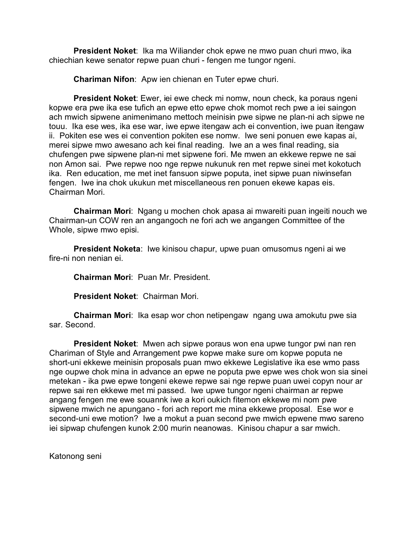**President Noket**: Ika ma Wiliander chok epwe ne mwo puan churi mwo, ika chiechian kewe senator repwe puan churi - fengen me tungor ngeni.

**Chariman Nifon**: Apw ien chienan en Tuter epwe churi.

**President Noket**: Ewer, iei ewe check mi nomw, noun check, ka poraus ngeni kopwe era pwe ika ese tufich an epwe etto epwe chok momot rech pwe a iei saingon ach mwich sipwene animenimano mettoch meinisin pwe sipwe ne plan-ni ach sipwe ne touu. Ika ese wes, ika ese war, iwe epwe itengaw ach ei convention, iwe puan itengaw ii. Pokiten ese wes ei convention pokiten ese nomw. Iwe seni ponuen ewe kapas ai, merei sipwe mwo awesano ach kei final reading. Iwe an a wes final reading, sia chufengen pwe sipwene plan-ni met sipwene fori. Me mwen an ekkewe repwe ne sai non Amon sai. Pwe repwe noo nge repwe nukunuk ren met repwe sinei met kokotuch ika. Ren education, me met inet fansuon sipwe poputa, inet sipwe puan niwinsefan fengen. Iwe ina chok ukukun met miscellaneous ren ponuen ekewe kapas eis. Chairman Mori.

**Chairman Mori**: Ngang u mochen chok apasa ai mwareiti puan ingeiti nouch we Chairman-un COW ren an angangoch ne fori ach we angangen Committee of the Whole, sipwe mwo episi.

**President Noketa**: Iwe kinisou chapur, upwe puan omusomus ngeni ai we fire-ni non nenian ei.

**Chairman Mori**: Puan Mr. President.

**President Noket**: Chairman Mori.

**Chairman Mori**: Ika esap wor chon netipengaw ngang uwa amokutu pwe sia sar. Second.

**President Noket**: Mwen ach sipwe poraus won ena upwe tungor pwi nan ren Chariman of Style and Arrangement pwe kopwe make sure om kopwe poputa ne short-uni ekkewe meinisin proposals puan mwo ekkewe Legislative ika ese wmo pass nge oupwe chok mina in advance an epwe ne poputa pwe epwe wes chok won sia sinei metekan - ika pwe epwe tongeni ekewe repwe sai nge repwe puan uwei copyn nour ar repwe sai ren ekkewe met mi passed. Iwe upwe tungor ngeni chairman ar repwe angang fengen me ewe souannk iwe a kori oukich fitemon ekkewe mi nom pwe sipwene mwich ne apungano - fori ach report me mina ekkewe proposal. Ese wor e second-uni ewe motion? Iwe a mokut a puan second pwe mwich epwene mwo sareno iei sipwap chufengen kunok 2:00 murin neanowas. Kinisou chapur a sar mwich.

Katonong seni